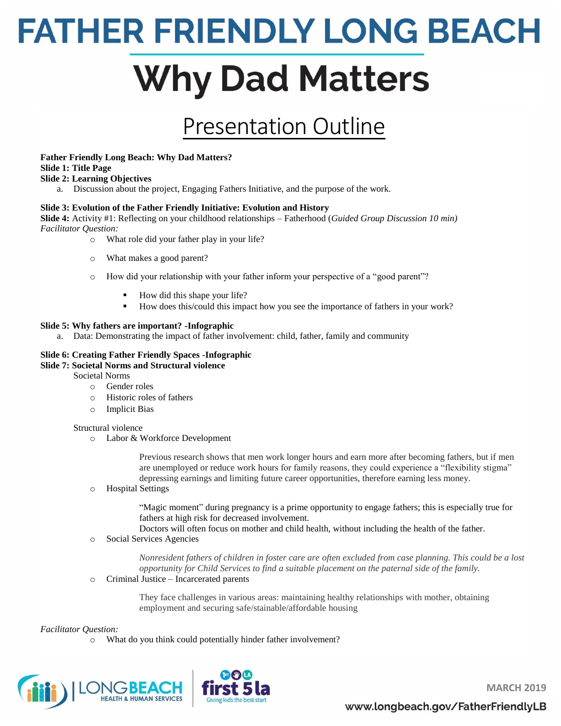# **FATHER FRIENDLY LONG BEACH Why Dad Matters**

## Presentation Outline

### **Father Friendly Long Beach: Why Dad Matters?**

### **Slide 1: Title Page**

### **Slide 2: Learning Objectives**

a. Discussion about the project, Engaging Fathers Initiative, and the purpose of the work.

### **Slide 3: Evolution of the Father Friendly Initiative: Evolution and History**

**Slide 4:** Activity #1: Reflecting on your childhood relationships – Fatherhood (*Guided Group Discussion 10 min) Facilitator Question:* 

- o What role did your father play in your life?
- o What makes a good parent?
- o How did your relationship with your father inform your perspective of a "good parent"?
	- How did this shape your life?
	- How does this/could this impact how you see the importance of fathers in your work?

### **Slide 5: Why fathers are important? -Infographic**

a. Data: Demonstrating the impact of father involvement: child, father, family and community

#### **Slide 6: Creating Father Friendly Spaces -Infographic Slide 7: Societal Norms and Structural violence**

- Societal Norms
	- o Gender roles
	- o Historic roles of fathers
	- o Implicit Bias

### Structural violence

o Labor & Workforce Development

Previous research shows that men work longer hours and earn more after becoming fathers, but if men are unemployed or reduce work hours for family reasons, they could experience a "flexibility stigma" depressing earnings and limiting future career opportunities, therefore earning less money.

o Hospital Settings

"Magic moment" during pregnancy is a prime opportunity to engage fathers; this is especially true for fathers at high risk for decreased involvement.

Doctors will often focus on mother and child health, without including the health of the father.

o Social Services Agencies

*Nonresident fathers of children in foster care are often excluded from case planning. This could be a lost opportunity for Child Services to find a suitable placement on the paternal side of the family.* 

o Criminal Justice – Incarcerated parents

They face challenges in various areas: maintaining healthy relationships with mother, obtaining employment and securing safe/stainable/affordable housing

### *Facilitator Question:*

o What do you think could potentially hinder father involvement?





**MARCH 2019**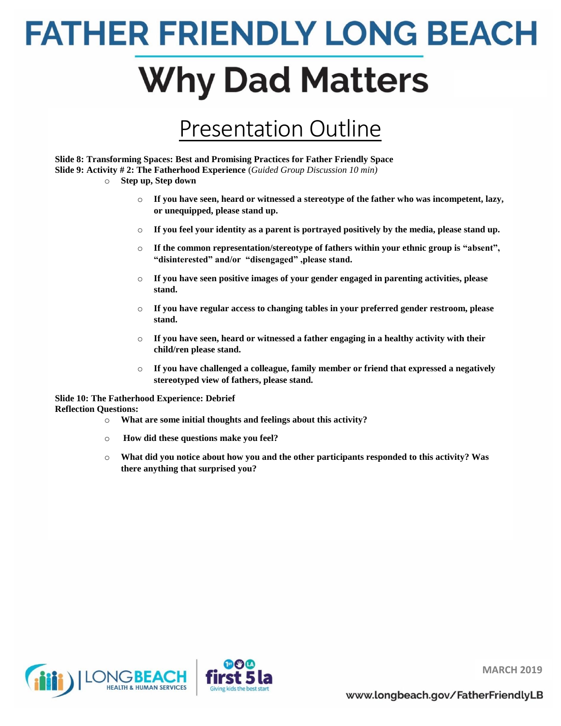## **FATHER FRIENDLY LONG BEACH Why Dad Matters**

## Presentation Outline

**Slide 8: Transforming Spaces: Best and Promising Practices for Father Friendly Space Slide 9: Activity # 2: The Fatherhood Experience** (*Guided Group Discussion 10 min)*

- o **Step up, Step down**
	- o **If you have seen, heard or witnessed a stereotype of the father who was incompetent, lazy, or unequipped, please stand up.**
	- o **If you feel your identity as a parent is portrayed positively by the media, please stand up.**
	- o **If the common representation/stereotype of fathers within your ethnic group is "absent", "disinterested" and/or "disengaged" ,please stand.**
	- o **If you have seen positive images of your gender engaged in parenting activities, please stand.**
	- o **If you have regular access to changing tables in your preferred gender restroom, please stand.**
	- o **If you have seen, heard or witnessed a father engaging in a healthy activity with their child/ren please stand.**
	- o **If you have challenged a colleague, family member or friend that expressed a negatively stereotyped view of fathers, please stand.**

### **Slide 10: The Fatherhood Experience: Debrief Reflection Questions:**

- o **What are some initial thoughts and feelings about this activity?**
- o **How did these questions make you feel?**
- o **What did you notice about how you and the other participants responded to this activity? Was there anything that surprised you?**





**MARCH 2019**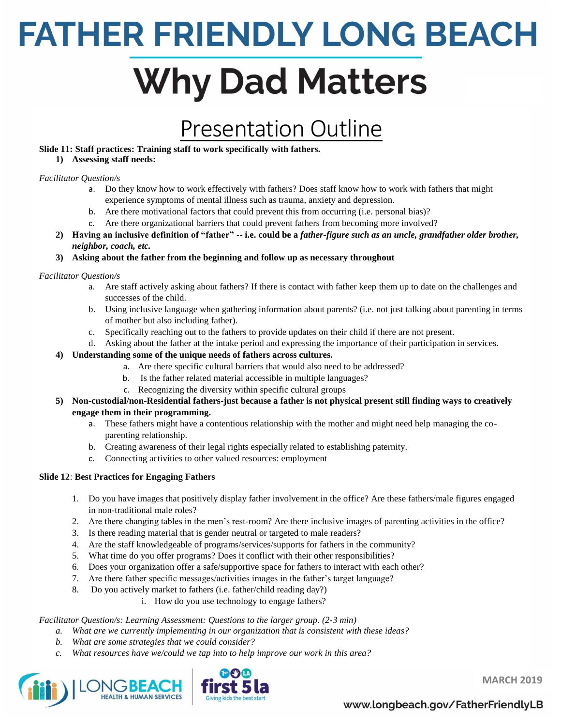# **Why Dad Matters**

## Presentation Outline

### **Slide 11: Staff practices: Training staff to work specifically with fathers.**

### **1) Assessing staff needs:**

### *Facilitator Question/s*

- a. Do they know how to work effectively with fathers? Does staff know how to work with fathers that might experience symptoms of mental illness such as trauma, anxiety and depression.
- b. Are there motivational factors that could prevent this from occurring (i.e. personal bias)?
- c. Are there organizational barriers that could prevent fathers from becoming more involved?
- **2) Having an inclusive definition of "father" -- i.e. could be a** *father-figure such as an uncle, grandfather older brother, neighbor, coach, etc.*
- **3) Asking about the father from the beginning and follow up as necessary throughout**

### *Facilitator Question/s*

- a. Are staff actively asking about fathers? If there is contact with father keep them up to date on the challenges and successes of the child.
- b. Using inclusive language when gathering information about parents? (i.e. not just talking about parenting in terms of mother but also including father).
- c. Specifically reaching out to the fathers to provide updates on their child if there are not present.
- d. Asking about the father at the intake period and expressing the importance of their participation in services.

### **4) Understanding some of the unique needs of fathers across cultures.**

- a. Are there specific cultural barriers that would also need to be addressed?
- b. Is the father related material accessible in multiple languages?
- c. Recognizing the diversity within specific cultural groups
- **5) Non-custodial/non-Residential fathers-just because a father is not physical present still finding ways to creatively engage them in their programming.** 
	- a. These fathers might have a contentious relationship with the mother and might need help managing the coparenting relationship.
	- b. Creating awareness of their legal rights especially related to establishing paternity.
	- c. Connecting activities to other valued resources: employment

### **Slide 12**: **Best Practices for Engaging Fathers**

- 1. Do you have images that positively display father involvement in the office? Are these fathers/male figures engaged in non-traditional male roles?
- 2. Are there changing tables in the men's rest-room? Are there inclusive images of parenting activities in the office?
- 3. Is there reading material that is gender neutral or targeted to male readers?
- 4. Are the staff knowledgeable of programs/services/supports for fathers in the community?
- 5. What time do you offer programs? Does it conflict with their other responsibilities?
- 6. Does your organization offer a safe/supportive space for fathers to interact with each other?
- 7. Are there father specific messages/activities images in the father's target language?
- 8. Do you actively market to fathers (i.e. father/child reading day?)
	- i. How do you use technology to engage fathers?

### *Facilitator Question/s: Learning Assessment: Questions to the larger group. (2-3 min)*

- *a. What are we currently implementing in our organization that is consistent with these ideas?*
- *b. What are some strategies that we could consider?*
- *c. What resources have we/could we tap into to help improve our work in this area?*





**MARCH 2019**

### www.longbeach.gov/FatherFriendlyLB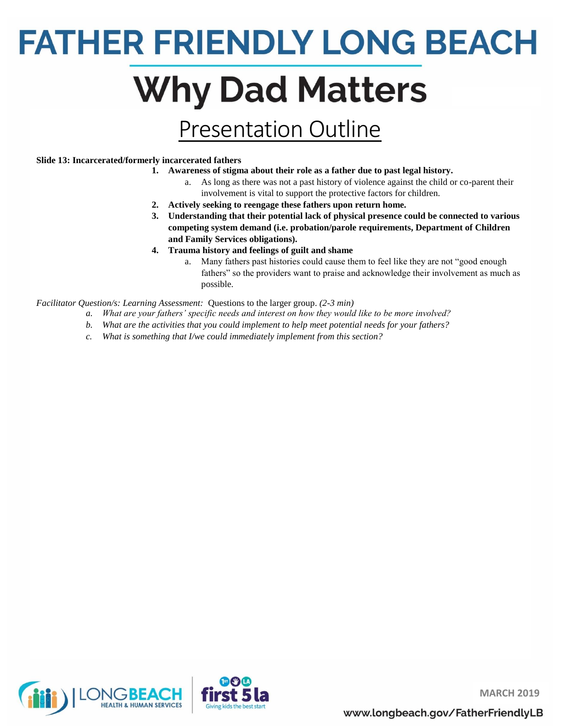# **Why Dad Matters**

## Presentation Outline

### **Slide 13: Incarcerated/formerly incarcerated fathers**

- **1. Awareness of stigma about their role as a father due to past legal history.**
	- a. As long as there was not a past history of violence against the child or co-parent their involvement is vital to support the protective factors for children.
- **2. Actively seeking to reengage these fathers upon return home.**
- **3. Understanding that their potential lack of physical presence could be connected to various competing system demand (i.e. probation/parole requirements, Department of Children and Family Services obligations).**
- **4. Trauma history and feelings of guilt and shame**
	- a. Many fathers past histories could cause them to feel like they are not "good enough fathers" so the providers want to praise and acknowledge their involvement as much as possible.

*Facilitator Question/s: Learning Assessment:* Questions to the larger group. *(2-3 min)*

- *a. What are your fathers' specific needs and interest on how they would like to be more involved?*
- *b. What are the activities that you could implement to help meet potential needs for your fathers?*
- *c. What is something that I/we could immediately implement from this section?*





**MARCH 2019**

www.longbeach.gov/FatherFriendlyLB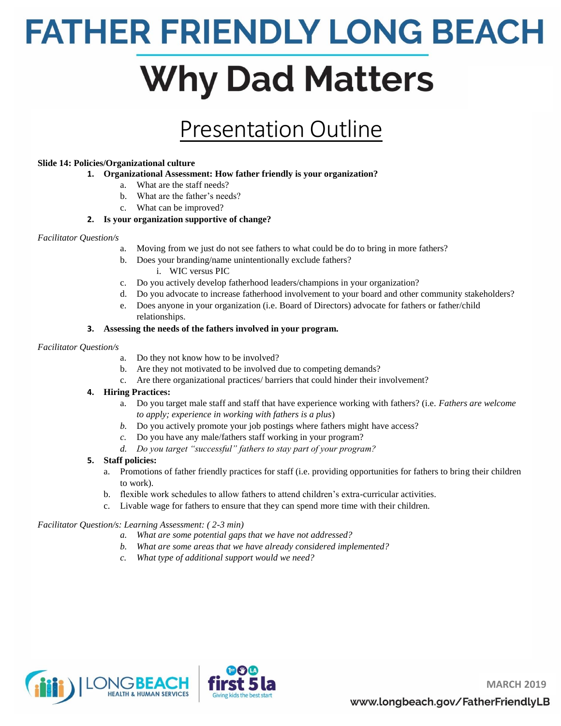## **Why Dad Matters**

## Presentation Outline

### **Slide 14: Policies/Organizational culture**

- **1. Organizational Assessment: How father friendly is your organization?** 
	- a. What are the staff needs?
	- b. What are the father's needs?
	- c. What can be improved?

### **2. Is your organization supportive of change?**

### *Facilitator Question/s*

- a. Moving from we just do not see fathers to what could be do to bring in more fathers?
- b. Does your branding/name unintentionally exclude fathers?
	- i. WIC versus PIC
- c. Do you actively develop fatherhood leaders/champions in your organization?
- d. Do you advocate to increase fatherhood involvement to your board and other community stakeholders?
- e. Does anyone in your organization (i.e. Board of Directors) advocate for fathers or father/child relationships.

### **3. Assessing the needs of the fathers involved in your program.**

### *Facilitator Question/s*

- a. Do they not know how to be involved?
- b. Are they not motivated to be involved due to competing demands?
- c. Are there organizational practices/ barriers that could hinder their involvement?

### **4. Hiring Practices:**

- a. Do you target male staff and staff that have experience working with fathers? (i.e. *Fathers are welcome to apply; experience in working with fathers is a plus*)
- *b.* Do you actively promote your job postings where fathers might have access?
- *c.* Do you have any male/fathers staff working in your program?
- *d. Do you target "successful" fathers to stay part of your program?*

### **5. Staff policies:**

- a. Promotions of father friendly practices for staff (i.e. providing opportunities for fathers to bring their children to work).
- b. flexible work schedules to allow fathers to attend children's extra-curricular activities.
- c. Livable wage for fathers to ensure that they can spend more time with their children.

### *Facilitator Question/s: Learning Assessment: ( 2-3 min)*

- *a. What are some potential gaps that we have not addressed?*
- *b. What are some areas that we have already considered implemented?*
- *c. What type of additional support would we need?*



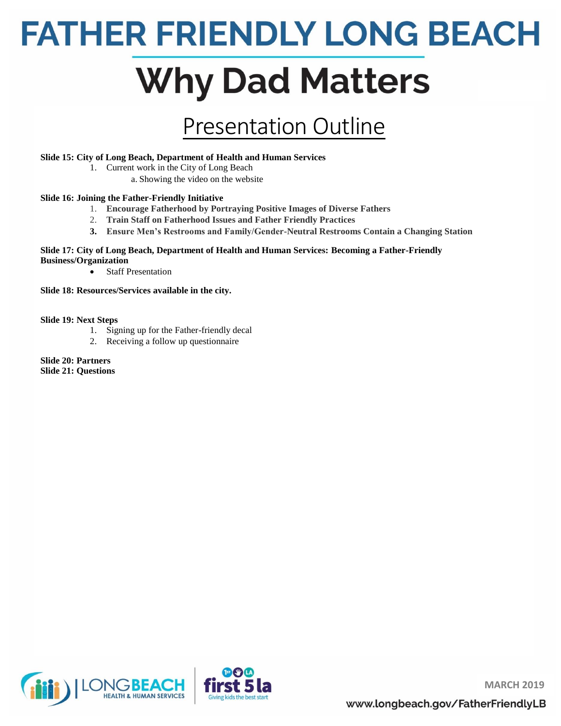# **Why Dad Matters**

## Presentation Outline

### **Slide 15: City of Long Beach, Department of Health and Human Services**

- 1. Current work in the City of Long Beach
	- a. Showing the video on the website

### **Slide 16: Joining the Father-Friendly Initiative**

- 1. **Encourage Fatherhood by Portraying Positive Images of Diverse Fathers**
- 2. **Train Staff on Fatherhood Issues and Father Friendly Practices**
- **3. Ensure Men's Restrooms and Family/Gender-Neutral Restrooms Contain a Changing Station**

### **Slide 17: City of Long Beach, Department of Health and Human Services: Becoming a Father-Friendly Business/Organization**

- Staff Presentation
- **Slide 18: Resources/Services available in the city.**

### **Slide 19: Next Steps**

- 1. Signing up for the Father-friendly decal
- 2. Receiving a follow up questionnaire
- **Slide 20: Partners Slide 21: Questions**